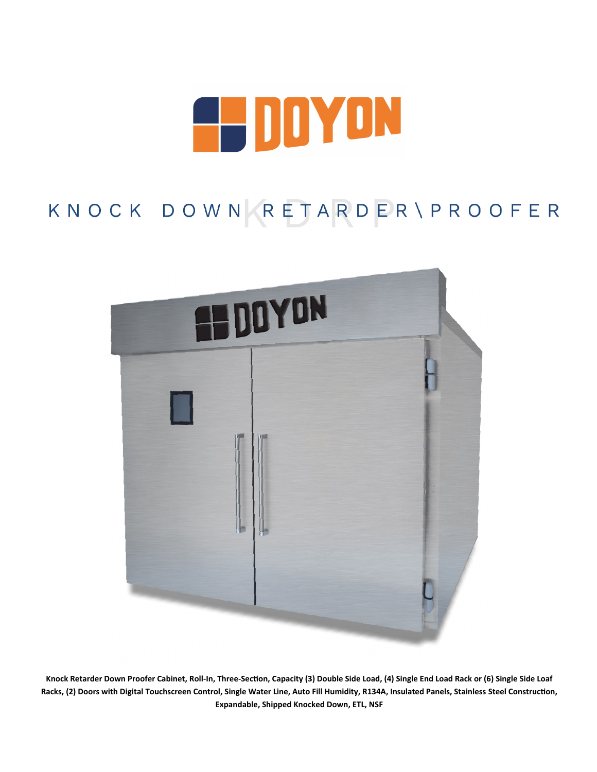

## KNOCK DOWN RETARDER\PROOFER



**Knock Retarder Down Proofer Cabinet, Roll-In, Three-Section, Capacity (3) Double Side Load, (4) Single End Load Rack or (6) Single Side Loaf Racks, (2) Doors with Digital Touchscreen Control, Single Water Line, Auto Fill Humidity, R134A, Insulated Panels, Stainless Steel Construction, Expandable, Shipped Knocked Down, ETL, NSF**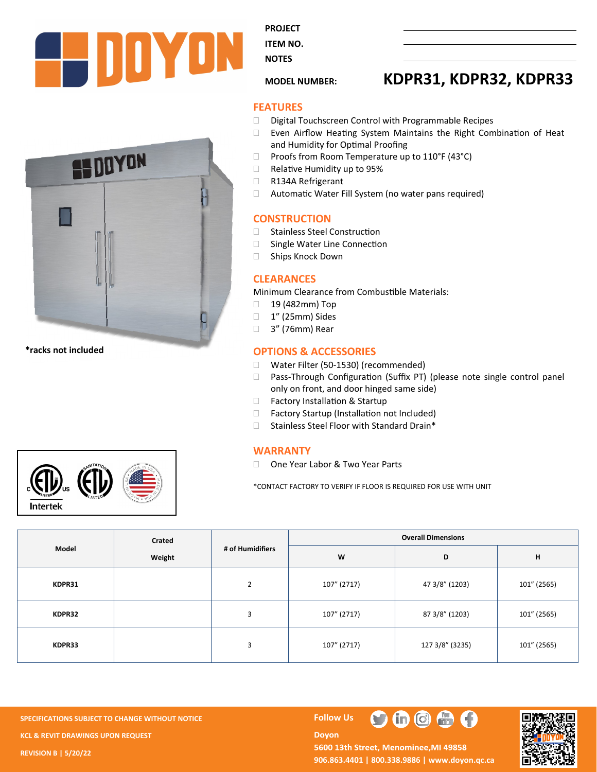



**\*racks not included**



**PROJECT** 

**ITEM NO. NOTES** 

### **MODEL NUMBER: KDPR31, KDPR32, KDPR33**

#### **FEATURES**

- $\square$  Digital Touchscreen Control with Programmable Recipes
- Even Airflow Heating System Maintains the Right Combination of Heat and Humidity for Optimal Proofing
- $\Box$  Proofs from Room Temperature up to 110°F (43°C)
- □ Relative Humidity up to 95%
- R134A Refrigerant
- Automatic Water Fill System (no water pans required)

#### **CONSTRUCTION**

- □ Stainless Steel Construction
- □ Single Water Line Connection
- □ Ships Knock Down

#### **CLEARANCES**

Minimum Clearance from Combustible Materials:

- □ 19 (482mm) Top
- □ 1" (25mm) Sides
- □ 3" (76mm) Rear

#### **OPTIONS & ACCESSORIES**

- □ Water Filter (50-1530) (recommended)
- □ Pass-Through Configuration (Suffix PT) (please note single control panel only on front, and door hinged same side)
- □ Factory Installation & Startup
- □ Factory Startup (Installation not Included)
- $\Box$  Stainless Steel Floor with Standard Drain\*

#### **WARRANTY**

□ One Year Labor & Two Year Parts

\*CONTACT FACTORY TO VERIFY IF FLOOR IS REQUIRED FOR USE WITH UNIT

| Model  | Crated | # of Humidifiers | <b>Overall Dimensions</b> |                 |             |  |
|--------|--------|------------------|---------------------------|-----------------|-------------|--|
|        | Weight |                  | W                         | D               | н           |  |
| KDPR31 |        | $\overline{2}$   | 107" (2717)               | 47 3/8" (1203)  | 101" (2565) |  |
| KDPR32 |        | 3                | 107" (2717)               | 87 3/8" (1203)  | 101" (2565) |  |
| KDPR33 |        | $\overline{3}$   | 107" (2717)               | 127 3/8" (3235) | 101" (2565) |  |

**SPECIFICATIONS SUBJECT TO CHANGE WITHOUT NOTICE Follow Use The Follow Use The Follow Use The Follow Use The Follow Use The Follow Use The Follow Use The Follow Use The Follow Use The Follow Use The Follow Use The Follow KCL & REVIT DRAWINGS UPON REQUEST REVISION B | 5/20/22**

**Doyon** 



5600 13th Street, Menominee, MI 49858 **906.863.4401 | 800.338.9886 | [www.doyon.qc.ca](http://www.doyon.qc.ca/)**

 $\bigoplus$   $\bigoplus$   $\bigoplus$